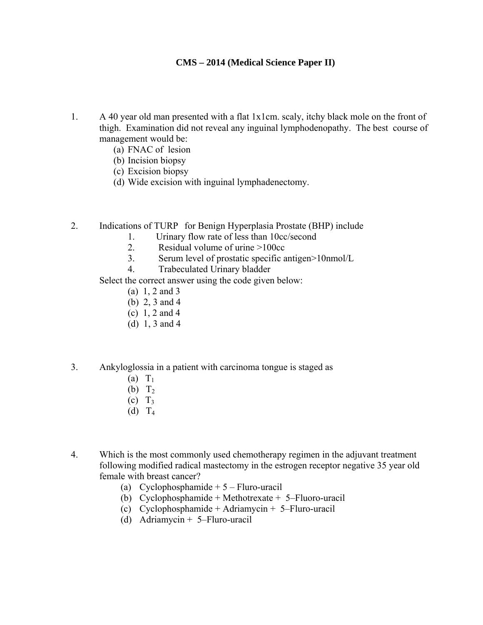## **CMS – 2014 (Medical Science Paper II)**

- 1. A 40 year old man presented with a flat 1x1cm. scaly, itchy black mole on the front of thigh. Examination did not reveal any inguinal lymphodenopathy. The best course of management would be:
	- (a) FNAC of lesion
	- (b) Incision biopsy
	- (c) Excision biopsy
	- (d) Wide excision with inguinal lymphadenectomy.
- 2. Indications of TURP for Benign Hyperplasia Prostate (BHP) include
	- 1. Urinary flow rate of less than 10cc/second
	- 2. Residual volume of urine >100cc
	- 3. Serum level of prostatic specific antigen>10nmol/L
	- 4. Trabeculated Urinary bladder

Select the correct answer using the code given below:

- (a) 1, 2 and 3
- (b) 2, 3 and 4
- (c) 1, 2 and 4
- (d) 1, 3 and 4
- 3. Ankyloglossia in a patient with carcinoma tongue is staged as
	- (a)  $T_1$
	- (b)  $T<sub>2</sub>$
	- $(c)$   $T_3$
	- (d)  $T_4$
- 4. Which is the most commonly used chemotherapy regimen in the adjuvant treatment following modified radical mastectomy in the estrogen receptor negative 35 year old female with breast cancer?
	- (a) Cyclophosphamide + 5 Fluro-uracil
	- (b) Cyclophosphamide + Methotrexate + 5–Fluoro-uracil
	- (c) Cyclophosphamide + Adriamycin + 5–Fluro-uracil
	- (d) Adriamycin + 5–Fluro-uracil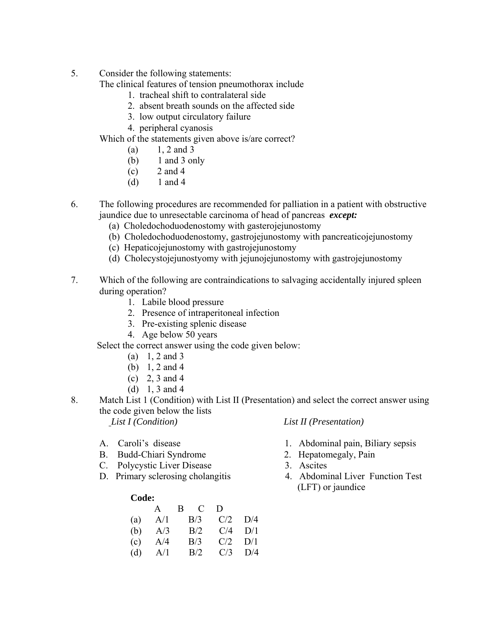5. Consider the following statements:

The clinical features of tension pneumothorax include

- 1. tracheal shift to contralateral side
- 2. absent breath sounds on the affected side
- 3. low output circulatory failure
- 4. peripheral cyanosis

Which of the statements given above is/are correct?

- (a)  $1, 2$  and 3
- (b)  $1$  and  $3$  only
- $(c)$  2 and 4
- (d)  $1$  and 4
- 6. The following procedures are recommended for palliation in a patient with obstructive jaundice due to unresectable carcinoma of head of pancreas *except:* 
	- (a) Choledochoduodenostomy with gasterojejunostomy
	- (b) Choledochoduodenostomy, gastrojejunostomy with pancreaticojejunostomy
	- (c) Hepaticojejunostomy with gastrojejunostomy
	- (d) Cholecystojejunostyomy with jejunojejunostomy with gastrojejunostomy
- 7. Which of the following are contraindications to salvaging accidentally injured spleen during operation?
	- 1. Labile blood pressure
	- 2. Presence of intraperitoneal infection
	- 3. Pre-existing splenic disease
	- 4. Age below 50 years

Select the correct answer using the code given below:

- (a) 1, 2 and 3
- (b) 1, 2 and 4
- (c) 2, 3 and 4
- (d) 1, 3 and 4
- 8. Match List 1 (Condition) with List II (Presentation) and select the correct answer using the code given below the lists

#### *List I (Condition) List II (Presentation)*

- A. Caroli's disease 1. Abdominal pain, Biliary sepsis
- B. Budd-Chiari Syndrome 2. Hepatomegaly, Pain
	-
- D. Primary sclerosing cholangitis 4. Abdominal Liver Function Test (LFT) or jaundice
- C. Polycystic Liver Disease 3. Ascites
- 

#### **Code:**

|  | A B C D                     |  |
|--|-----------------------------|--|
|  | (a) $A/1$ $B/3$ $C/2$ $D/4$ |  |
|  | (b) $A/3$ $B/2$ $C/4$ $D/1$ |  |
|  | (c) $A/4$ $B/3$ $C/2$ $D/1$ |  |
|  | (d) $A/1$ $B/2$ $C/3$ $D/4$ |  |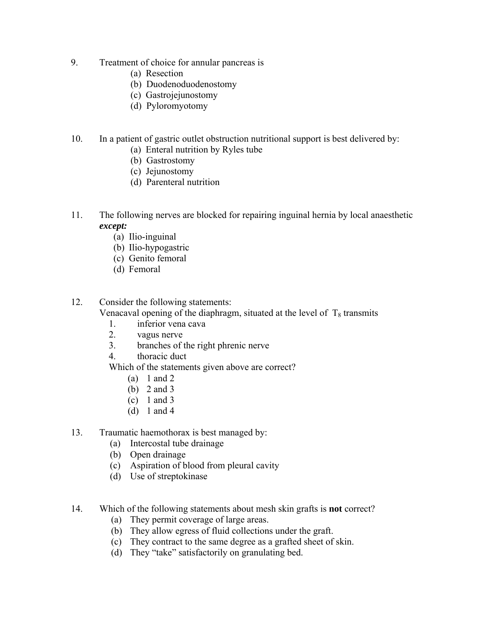- 9. Treatment of choice for annular pancreas is
	- (a) Resection
	- (b) Duodenoduodenostomy
	- (c) Gastrojejunostomy
	- (d) Pyloromyotomy
- 10. In a patient of gastric outlet obstruction nutritional support is best delivered by:
	- (a) Enteral nutrition by Ryles tube
	- (b) Gastrostomy
	- (c) Jejunostomy
	- (d) Parenteral nutrition
- 11. The following nerves are blocked for repairing inguinal hernia by local anaesthetic *except:*
	- (a) Ilio-inguinal
	- (b) Ilio-hypogastric
	- (c) Genito femoral
	- (d) Femoral

#### 12. Consider the following statements:

Venacaval opening of the diaphragm, situated at the level of  $T_8$  transmits

- 1. inferior vena cava
- 2. vagus nerve
- 3. branches of the right phrenic nerve
- 4. thoracic duct

Which of the statements given above are correct?

- (a) 1 and 2
- (b) 2 and 3
- (c) 1 and 3
- (d) 1 and 4
- 13. Traumatic haemothorax is best managed by:
	- (a) Intercostal tube drainage
	- (b) Open drainage
	- (c) Aspiration of blood from pleural cavity
	- (d) Use of streptokinase
- 14. Which of the following statements about mesh skin grafts is **not** correct?
	- (a) They permit coverage of large areas.
	- (b) They allow egress of fluid collections under the graft.
	- (c) They contract to the same degree as a grafted sheet of skin.
	- (d) They "take" satisfactorily on granulating bed.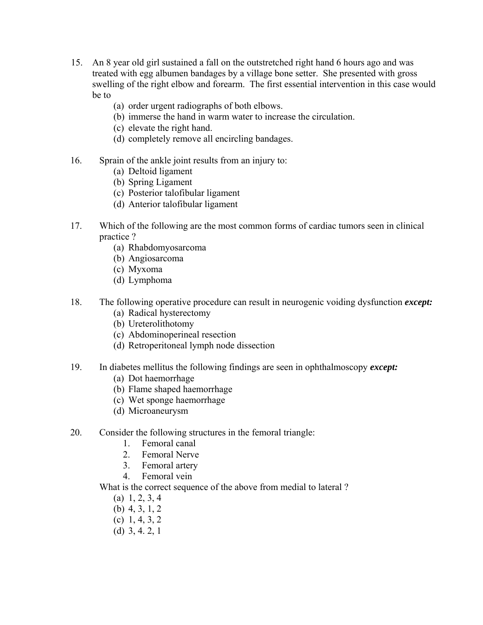- 15. An 8 year old girl sustained a fall on the outstretched right hand 6 hours ago and was treated with egg albumen bandages by a village bone setter. She presented with gross swelling of the right elbow and forearm. The first essential intervention in this case would be to
	- (a) order urgent radiographs of both elbows.
	- (b) immerse the hand in warm water to increase the circulation.
	- (c) elevate the right hand.
	- (d) completely remove all encircling bandages.
- 16. Sprain of the ankle joint results from an injury to:
	- (a) Deltoid ligament
	- (b) Spring Ligament
	- (c) Posterior talofibular ligament
	- (d) Anterior talofibular ligament
- 17. Which of the following are the most common forms of cardiac tumors seen in clinical practice ?
	- (a) Rhabdomyosarcoma
	- (b) Angiosarcoma
	- (c) Myxoma
	- (d) Lymphoma
- 18. The following operative procedure can result in neurogenic voiding dysfunction *except:*
	- (a) Radical hysterectomy
	- (b) Ureterolithotomy
	- (c) Abdominoperineal resection
	- (d) Retroperitoneal lymph node dissection
- 19. In diabetes mellitus the following findings are seen in ophthalmoscopy *except:*
	- (a) Dot haemorrhage
	- (b) Flame shaped haemorrhage
	- (c) Wet sponge haemorrhage
	- (d) Microaneurysm
- 20. Consider the following structures in the femoral triangle:
	- 1. Femoral canal
	- 2. Femoral Nerve
	- 3. Femoral artery
	- 4. Femoral vein
	- What is the correct sequence of the above from medial to lateral ?
		- (a) 1, 2, 3, 4
		- (b) 4, 3, 1, 2
		- (c) 1, 4, 3, 2
		- (d) 3, 4. 2, 1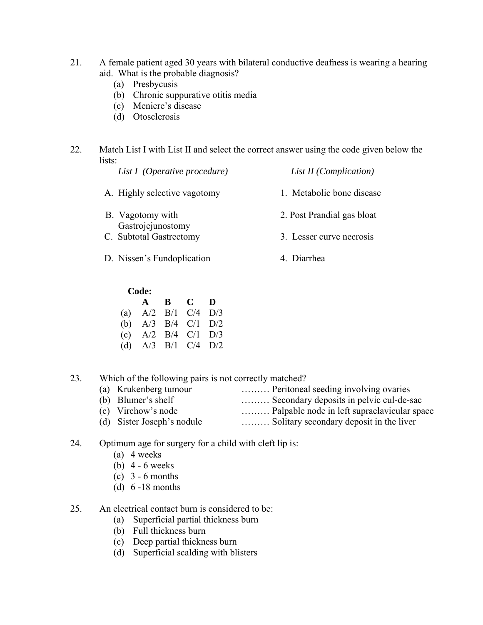- 21. A female patient aged 30 years with bilateral conductive deafness is wearing a hearing aid. What is the probable diagnosis?
	- (a) Presbycusis
	- (b) Chronic suppurative otitis media
	- (c) Meniere's disease
	- (d) Otosclerosis
- 22. Match List I with List II and select the correct answer using the code given below the lists:

*List I (Operative procedure) List II (Complication)*

- A. Highly selective vagotomy 1. Metabolic bone disease
- B. Vagotomy with Gastrojejunostomy
- 
- D. Nissen's Fundoplication 4. Diarrhea
- 
- 
- 2. Post Prandial gas bloat
- C. Subtotal Gastrectomy 3. Lesser curve necrosis
	-

#### **Code:**

|                             | A B C D |  |
|-----------------------------|---------|--|
| (a) $A/2$ $B/1$ $C/4$ $D/3$ |         |  |
| (b) $A/3$ $B/4$ $C/1$ $D/2$ |         |  |
| (c) $A/2$ $B/4$ $C/1$ $D/3$ |         |  |
| (d) $A/3$ $B/1$ $C/4$ $D/2$ |         |  |

- 23. Which of the following pairs is not correctly matched?
	- (a) Krukenberg tumour ……… Peritoneal seeding involving ovaries (b) Blumer's shelf <br>
	(c) Virchow's node ……… Secondary deposits in pelvic cul-de-sac<br>
	C) Virchow's node …… Palpable node in left supraclavicular spa
	- (c) Circuit in left supraclavicular space
	- (d) Sister Joseph's nodule ……… Solitary secondary deposit in the liver
- 24. Optimum age for surgery for a child with cleft lip is:
	- (a) 4 weeks
	- (b) 4 6 weeks
	- (c) 3 6 months
	- (d) 6 -18 months

## 25. An electrical contact burn is considered to be:

- (a) Superficial partial thickness burn
- (b) Full thickness burn
- (c) Deep partial thickness burn
- (d) Superficial scalding with blisters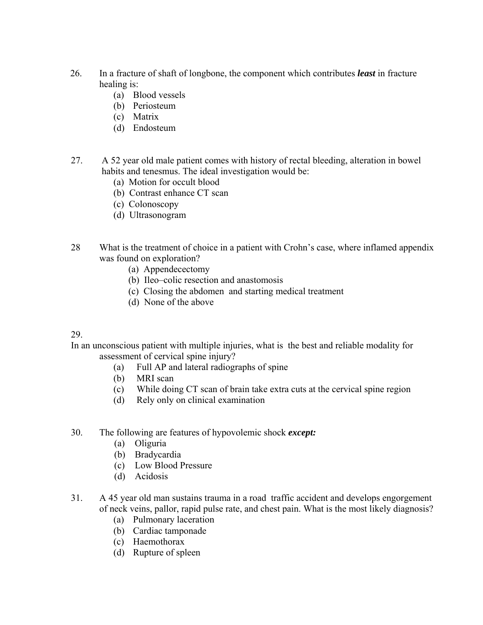- 26. In a fracture of shaft of longbone, the component which contributes *least* in fracture healing is:
	- (a) Blood vessels
	- (b) Periosteum
	- (c) Matrix
	- (d) Endosteum
- 27. A 52 year old male patient comes with history of rectal bleeding, alteration in bowel habits and tenesmus. The ideal investigation would be:
	- (a) Motion for occult blood
	- (b) Contrast enhance CT scan
	- (c) Colonoscopy
	- (d) Ultrasonogram
- 28 What is the treatment of choice in a patient with Crohn's case, where inflamed appendix was found on exploration?
	- (a) Appendecectomy
	- (b) Ileo–colic resection and anastomosis
	- (c) Closing the abdomen and starting medical treatment
	- (d) None of the above

In an unconscious patient with multiple injuries, what is the best and reliable modality for assessment of cervical spine injury?

- (a) Full AP and lateral radiographs of spine
- (b) MRI scan
- (c) While doing CT scan of brain take extra cuts at the cervical spine region
- (d) Rely only on clinical examination
- 30. The following are features of hypovolemic shock *except:*
	- (a) Oliguria
	- (b) Bradycardia
	- (c) Low Blood Pressure
	- (d) Acidosis
- 31. A 45 year old man sustains trauma in a road traffic accident and develops engorgement of neck veins, pallor, rapid pulse rate, and chest pain. What is the most likely diagnosis?
	- (a) Pulmonary laceration
	- (b) Cardiac tamponade
	- (c) Haemothorax
	- (d) Rupture of spleen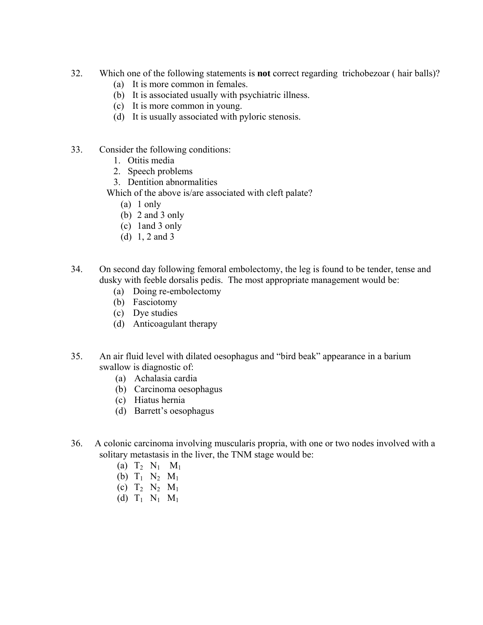- 32. Which one of the following statements is **not** correct regarding trichobezoar ( hair balls)?
	- (a) It is more common in females.
	- (b) It is associated usually with psychiatric illness.
	- (c) It is more common in young.
	- (d) It is usually associated with pyloric stenosis.
- 33. Consider the following conditions:
	- 1. Otitis media
	- 2. Speech problems
	- 3. Dentition abnormalities
	- Which of the above is/are associated with cleft palate?
		- (a) 1 only
		- (b) 2 and 3 only
		- (c) 1and 3 only
		- (d) 1, 2 and 3
- 34. On second day following femoral embolectomy, the leg is found to be tender, tense and dusky with feeble dorsalis pedis. The most appropriate management would be:
	- (a) Doing re-embolectomy
	- (b) Fasciotomy
	- (c) Dye studies
	- (d) Anticoagulant therapy
- 35. An air fluid level with dilated oesophagus and "bird beak" appearance in a barium swallow is diagnostic of:
	- (a) Achalasia cardia
	- (b) Carcinoma oesophagus
	- (c) Hiatus hernia
	- (d) Barrett's oesophagus
- 36. A colonic carcinoma involving muscularis propria, with one or two nodes involved with a solitary metastasis in the liver, the TNM stage would be:
	- (a)  $T_2$   $N_1$   $M_1$
	- (b)  $T_1$  N<sub>2</sub> M<sub>1</sub>
	- (c)  $T_2$   $N_2$   $M_1$
	- (d)  $T_1$  N<sub>1</sub> M<sub>1</sub>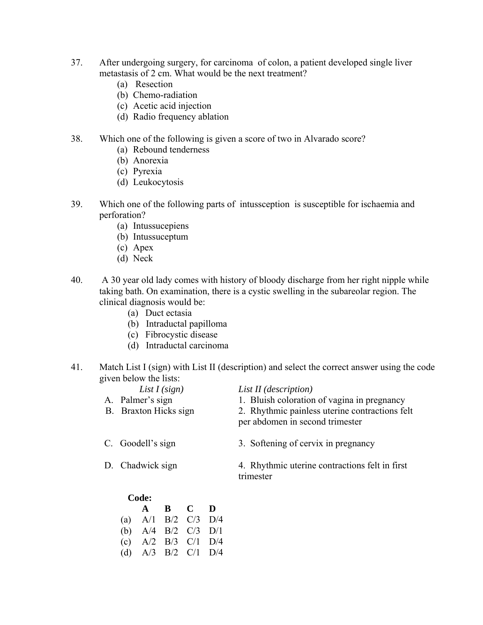- 37. After undergoing surgery, for carcinoma of colon, a patient developed single liver metastasis of 2 cm. What would be the next treatment?
	- (a) Resection
	- (b) Chemo-radiation
	- (c) Acetic acid injection
	- (d) Radio frequency ablation
- 38. Which one of the following is given a score of two in Alvarado score?
	- (a) Rebound tenderness
	- (b) Anorexia
	- (c) Pyrexia
	- (d) Leukocytosis
- 39. Which one of the following parts of intussception is susceptible for ischaemia and perforation?
	- (a) Intussucepiens
	- (b) Intussuceptum
	- (c) Apex
	- (d) Neck
- 40. A 30 year old lady comes with history of bloody discharge from her right nipple while taking bath. On examination, there is a cystic swelling in the subareolar region. The clinical diagnosis would be:
	- (a) Duct ectasia
	- (b) Intraductal papilloma
	- (c) Fibrocystic disease
	- (d) Intraductal carcinoma
- 41. Match List I (sign) with List II (description) and select the correct answer using the code given below the lists:

| List $I$ (sign)<br>A. Palmer's sign<br>B. Braxton Hicks sign | List II (description)<br>1. Bluish coloration of vagina in pregnancy<br>2. Rhythmic painless uterine contractions felt<br>per abdomen in second trimester |
|--------------------------------------------------------------|-----------------------------------------------------------------------------------------------------------------------------------------------------------|
| C. Goodell's sign                                            | 3. Softening of cervix in pregnancy                                                                                                                       |

D. Chadwick sign 4. Rhythmic uterine contractions felt in first trimester

# **Code:**

|                             | A B C D |  |
|-----------------------------|---------|--|
| (a) $A/1$ $B/2$ $C/3$ $D/4$ |         |  |
| (b) $A/4$ $B/2$ $C/3$ $D/1$ |         |  |
| (c) $A/2$ $B/3$ $C/1$ $D/4$ |         |  |
| (d) $A/3$ $B/2$ $C/1$ $D/4$ |         |  |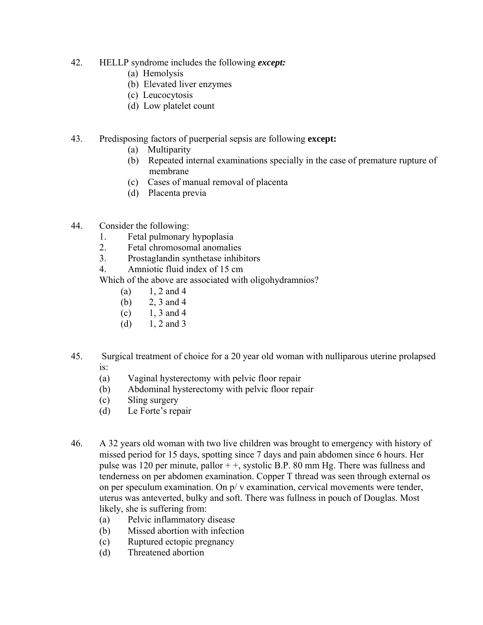- 42. HELLP syndrome includes the following *except:*
	- (a) Hemolysis
	- (b) Elevated liver enzymes
	- (c) Leucocytosis
	- (d) Low platelet count
- 43. Predisposing factors of puerperial sepsis are following **except:**
	- (a) Multiparity
	- (b) Repeated internal examinations specially in the case of premature rupture of membrane
	- (c) Cases of manual removal of placenta
	- (d) Placenta previa
- 44. Consider the following:
	- 1. Fetal pulmonary hypoplasia
	- 2. Fetal chromosomal anomalies
	- 3. Prostaglandin synthetase inhibitors
	- 4. Amniotic fluid index of 15 cm

Which of the above are associated with oligohydramnios?

- (a)  $1, 2$  and 4
- (b) 2, 3 and 4
- (c)  $1, 3$  and 4
- (d)  $1, 2$  and 3
- 45. Surgical treatment of choice for a 20 year old woman with nulliparous uterine prolapsed is:
	- (a) Vaginal hysterectomy with pelvic floor repair
	- (b) Abdominal hysterectomy with pelvic floor repair
	- (c) Sling surgery
	- (d) Le Forte's repair
- 46. A 32 years old woman with two live children was brought to emergency with history of missed period for 15 days, spotting since 7 days and pain abdomen since 6 hours. Her pulse was 120 per minute, pallor + +, systolic B.P. 80 mm Hg. There was fullness and tenderness on per abdomen examination. Copper T thread was seen through external os on per speculum examination. On p/ v examination, cervical movements were tender, uterus was anteverted, bulky and soft. There was fullness in pouch of Douglas. Most likely, she is suffering from:
	- (a) Pelvic inflammatory disease
	- (b) Missed abortion with infection
	- (c) Ruptured ectopic pregnancy
	- (d) Threatened abortion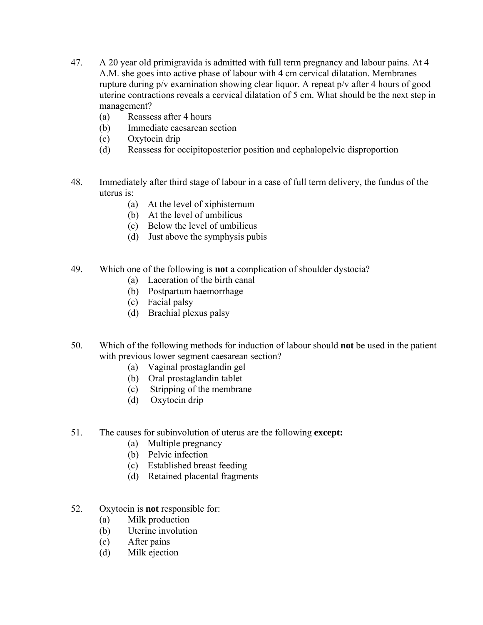- 47. A 20 year old primigravida is admitted with full term pregnancy and labour pains. At 4 A.M. she goes into active phase of labour with 4 cm cervical dilatation. Membranes rupture during p/v examination showing clear liquor. A repeat p/v after 4 hours of good uterine contractions reveals a cervical dilatation of 5 cm. What should be the next step in management?
	- (a) Reassess after 4 hours
	- (b) Immediate caesarean section
	- (c) Oxytocin drip
	- (d) Reassess for occipitoposterior position and cephalopelvic disproportion
- 48. Immediately after third stage of labour in a case of full term delivery, the fundus of the uterus is:
	- (a) At the level of xiphisternum
	- (b) At the level of umbilicus
	- (c) Below the level of umbilicus
	- (d) Just above the symphysis pubis
- 49. Which one of the following is **not** a complication of shoulder dystocia?
	- (a) Laceration of the birth canal
	- (b) Postpartum haemorrhage
	- (c) Facial palsy
	- (d) Brachial plexus palsy
- 50. Which of the following methods for induction of labour should **not** be used in the patient with previous lower segment caesarean section?
	- (a) Vaginal prostaglandin gel
	- (b) Oral prostaglandin tablet
	- (c) Stripping of the membrane
	- (d) Oxytocin drip
- 51. The causes for subinvolution of uterus are the following **except:**
	- (a) Multiple pregnancy
	- (b) Pelvic infection
	- (c) Established breast feeding
	- (d) Retained placental fragments
- 52. Oxytocin is **not** responsible for:
	- (a) Milk production
	- (b) Uterine involution
	- (c) After pains
	- (d) Milk ejection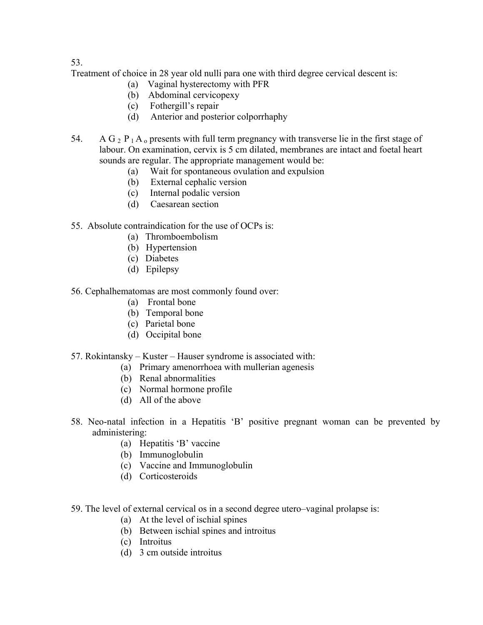Treatment of choice in 28 year old nulli para one with third degree cervical descent is:

- (a) Vaginal hysterectomy with PFR
- (b) Abdominal cervicopexy
- (c) Fothergill's repair
- (d) Anterior and posterior colporrhaphy
- 54. A G  $_2$  P  $_1$  A  $_0$  presents with full term pregnancy with transverse lie in the first stage of labour. On examination, cervix is 5 cm dilated, membranes are intact and foetal heart sounds are regular. The appropriate management would be:
	- (a) Wait for spontaneous ovulation and expulsion
	- (b) External cephalic version
	- (c) Internal podalic version
	- (d) Caesarean section
- 55. Absolute contraindication for the use of OCPs is:
	- (a) Thromboembolism
	- (b) Hypertension
	- (c) Diabetes
	- (d) Epilepsy
- 56. Cephalhematomas are most commonly found over:
	- (a) Frontal bone
	- (b) Temporal bone
	- (c) Parietal bone
	- (d) Occipital bone
- 57. Rokintansky Kuster Hauser syndrome is associated with:
	- (a) Primary amenorrhoea with mullerian agenesis
	- (b) Renal abnormalities
	- (c) Normal hormone profile
	- (d) All of the above
- 58. Neo-natal infection in a Hepatitis 'B' positive pregnant woman can be prevented by administering:
	- (a) Hepatitis 'B' vaccine
	- (b) Immunoglobulin
	- (c) Vaccine and Immunoglobulin
	- (d) Corticosteroids
- 59. The level of external cervical os in a second degree utero–vaginal prolapse is:
	- (a) At the level of ischial spines
	- (b) Between ischial spines and introitus
	- (c) Introitus
	- (d) 3 cm outside introitus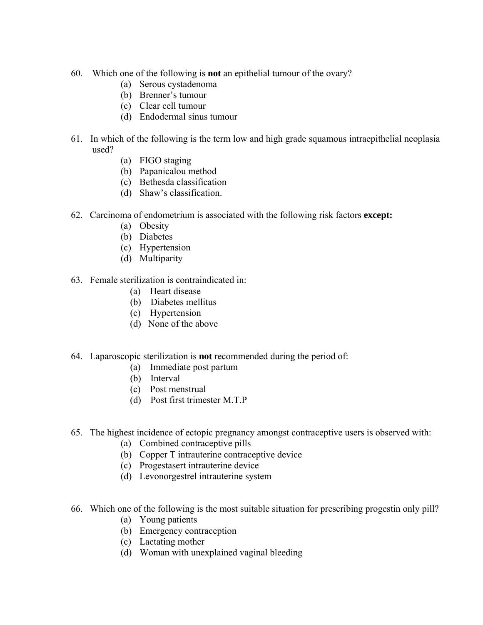- 60. Which one of the following is **not** an epithelial tumour of the ovary?
	- (a) Serous cystadenoma
	- (b) Brenner's tumour
	- (c) Clear cell tumour
	- (d) Endodermal sinus tumour
- 61. In which of the following is the term low and high grade squamous intraepithelial neoplasia used?
	- (a) FIGO staging
	- (b) Papanicalou method
	- (c) Bethesda classification
	- (d) Shaw's classification.
- 62. Carcinoma of endometrium is associated with the following risk factors **except:**
	- (a) Obesity
	- (b) Diabetes
	- (c) Hypertension
	- (d) Multiparity
- 63. Female sterilization is contraindicated in:
	- (a) Heart disease
	- (b) Diabetes mellitus
	- (c) Hypertension
	- (d) None of the above
- 64. Laparoscopic sterilization is **not** recommended during the period of:
	- (a) Immediate post partum
	- (b) Interval
	- (c) Post menstrual
	- (d) Post first trimester M.T.P
- 65. The highest incidence of ectopic pregnancy amongst contraceptive users is observed with:
	- (a) Combined contraceptive pills
	- (b) Copper T intrauterine contraceptive device
	- (c) Progestasert intrauterine device
	- (d) Levonorgestrel intrauterine system
- 66. Which one of the following is the most suitable situation for prescribing progestin only pill?
	- (a) Young patients
	- (b) Emergency contraception
	- (c) Lactating mother
	- (d) Woman with unexplained vaginal bleeding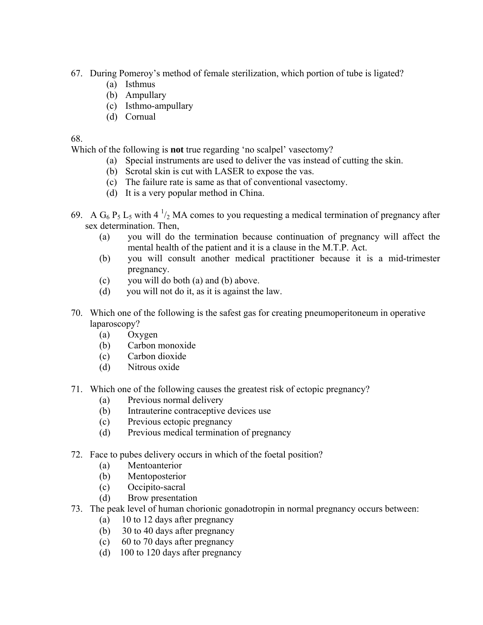- 67. During Pomeroy's method of female sterilization, which portion of tube is ligated?
	- (a) Isthmus
	- (b) Ampullary
	- (c) Isthmo-ampullary
	- (d) Cornual

Which of the following is **not** true regarding 'no scalpel' vasectomy?

- (a) Special instruments are used to deliver the vas instead of cutting the skin.
- (b) Scrotal skin is cut with LASER to expose the vas.
- (c) The failure rate is same as that of conventional vasectomy.
- (d) It is a very popular method in China.
- 69. A  $G_6$  P<sub>5</sub> L<sub>5</sub> with 4  $\frac{1}{2}$  MA comes to you requesting a medical termination of pregnancy after sex determination. Then,
	- (a) you will do the termination because continuation of pregnancy will affect the mental health of the patient and it is a clause in the M.T.P. Act.
	- (b) you will consult another medical practitioner because it is a mid-trimester pregnancy.
	- (c) you will do both (a) and (b) above.
	- (d) you will not do it, as it is against the law.
- 70. Which one of the following is the safest gas for creating pneumoperitoneum in operative laparoscopy?
	- (a) Oxygen
	- (b) Carbon monoxide
	- (c) Carbon dioxide
	- (d) Nitrous oxide
- 71. Which one of the following causes the greatest risk of ectopic pregnancy?
	- (a) Previous normal delivery
	- (b) Intrauterine contraceptive devices use
	- (c) Previous ectopic pregnancy
	- (d) Previous medical termination of pregnancy
- 72. Face to pubes delivery occurs in which of the foetal position?
	- (a) Mentoanterior
	- (b) Mentoposterior
	- (c) Occipito-sacral
	- (d) Brow presentation
- 73. The peak level of human chorionic gonadotropin in normal pregnancy occurs between:
	- (a) 10 to 12 days after pregnancy
	- (b) 30 to 40 days after pregnancy
	- (c) 60 to 70 days after pregnancy
	- (d) 100 to 120 days after pregnancy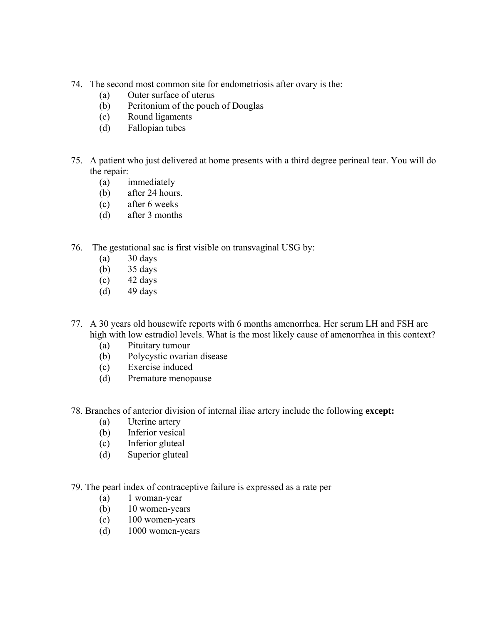- 74. The second most common site for endometriosis after ovary is the:
	- (a) Outer surface of uterus
	- (b) Peritonium of the pouch of Douglas
	- (c) Round ligaments
	- (d) Fallopian tubes
- 75. A patient who just delivered at home presents with a third degree perineal tear. You will do the repair:
	- (a) immediately
	- (b) after 24 hours.
	- (c) after 6 weeks
	- (d) after 3 months
- 76. The gestational sac is first visible on transvaginal USG by:
	- $(a)$  30 days
	- (b) 35 days
	- $(c)$  42 days
	- $(d)$  49 days
- 77. A 30 years old housewife reports with 6 months amenorrhea. Her serum LH and FSH are high with low estradiol levels. What is the most likely cause of amenorrhea in this context?
	- (a) Pituitary tumour
	- (b) Polycystic ovarian disease
	- (c) Exercise induced
	- (d) Premature menopause
- 78. Branches of anterior division of internal iliac artery include the following **except:**
	- (a) Uterine artery
	- (b) Inferior vesical
	- (c) Inferior gluteal
	- (d) Superior gluteal
- 79. The pearl index of contraceptive failure is expressed as a rate per
	- (a) 1 woman-year
	- (b) 10 women-years
	- (c) 100 women-years
	- (d) 1000 women-years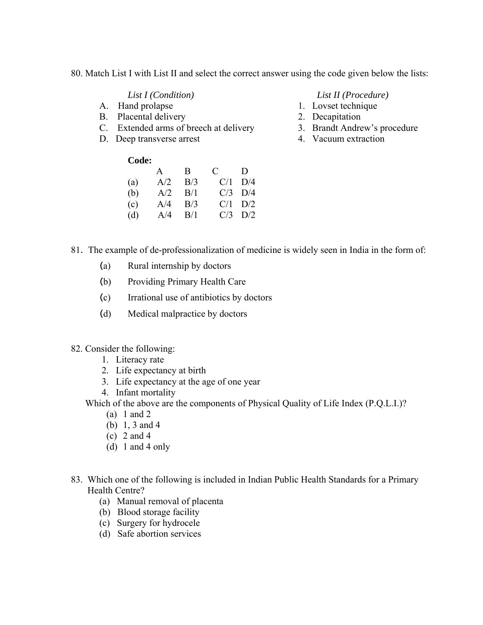80. Match List I with List II and select the correct answer using the code given below the lists:

List *I* (*Condition*)

- 
- B. Placental delivery 2. Decapitation

Code:

- C. Extended arms of breech at delivery 3. Brandt Andrew's procedure
- D. Deep transverse arrest 4. Vacuum extraction

|  | List II (Procedure) |
|--|---------------------|
|--|---------------------|

- A. Hand prolapse 1. Lovset technique
	-
	-
	-

| Couc. |  |                             |  |
|-------|--|-----------------------------|--|
|       |  | A B C D                     |  |
|       |  | (a) $A/2$ $B/3$ $C/1$ $D/4$ |  |
|       |  | (b) $A/2$ $B/1$ $C/3$ $D/4$ |  |
|       |  | (c) $A/4$ $B/3$ $C/1$ $D/2$ |  |
| (d)   |  | $A/4$ $B/1$ $C/3$ $D/2$     |  |
|       |  |                             |  |

- 81. The example of de-professionalization of medicine is widely seen in India in the form of:
	- (a) Rural internship by doctors
	- (b) Providing Primary Health Care
	- (c) Irrational use of antibiotics by doctors
	- (d) Medical malpractice by doctors

# 82. Consider the following:

- 1. Literacy rate
- 2. Life expectancy at birth
- 3. Life expectancy at the age of one year
- 4. Infant mortality
- Which of the above are the components of Physical Quality of Life Index (P.Q.L.I.)?
	- (a) 1 and 2
	- (b) 1, 3 and 4
	- (c) 2 and 4
	- (d) 1 and 4 only
- 83. Which one of the following is included in Indian Public Health Standards for a Primary Health Centre?
	- (a) Manual removal of placenta
	- (b) Blood storage facility
	- (c) Surgery for hydrocele
	- (d) Safe abortion services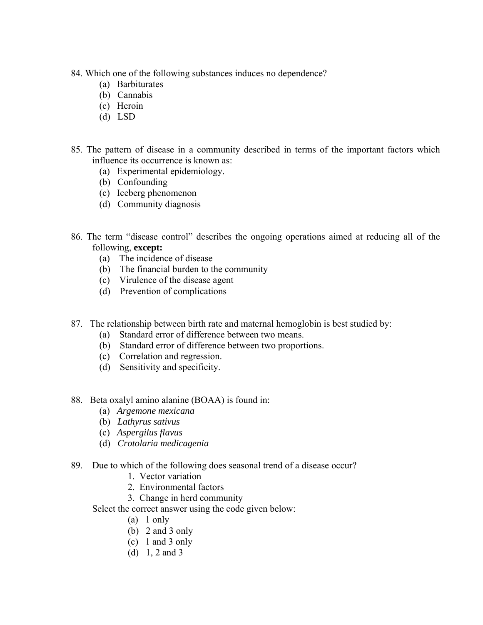- 84. Which one of the following substances induces no dependence?
	- (a) Barbiturates
	- (b) Cannabis
	- (c) Heroin
	- (d) LSD
- 85. The pattern of disease in a community described in terms of the important factors which influence its occurrence is known as:
	- (a) Experimental epidemiology.
	- (b) Confounding
	- (c) Iceberg phenomenon
	- (d) Community diagnosis
- 86. The term "disease control" describes the ongoing operations aimed at reducing all of the following, **except:**
	- (a) The incidence of disease
	- (b) The financial burden to the community
	- (c) Virulence of the disease agent
	- (d) Prevention of complications
- 87. The relationship between birth rate and maternal hemoglobin is best studied by:
	- (a) Standard error of difference between two means.
	- (b) Standard error of difference between two proportions.
	- (c) Correlation and regression.
	- (d) Sensitivity and specificity.
- 88. Beta oxalyl amino alanine (BOAA) is found in:
	- (a) *Argemone mexicana*
	- (b) *Lathyrus sativus*
	- (c) *Aspergilus flavus*
	- (d) *Crotolaria medicagenia*
- 89. Due to which of the following does seasonal trend of a disease occur?
	- 1. Vector variation
	- 2. Environmental factors
	- 3. Change in herd community
	- Select the correct answer using the code given below:
		- (a) 1 only
		- (b) 2 and 3 only
		- (c) 1 and 3 only
		- (d) 1, 2 and 3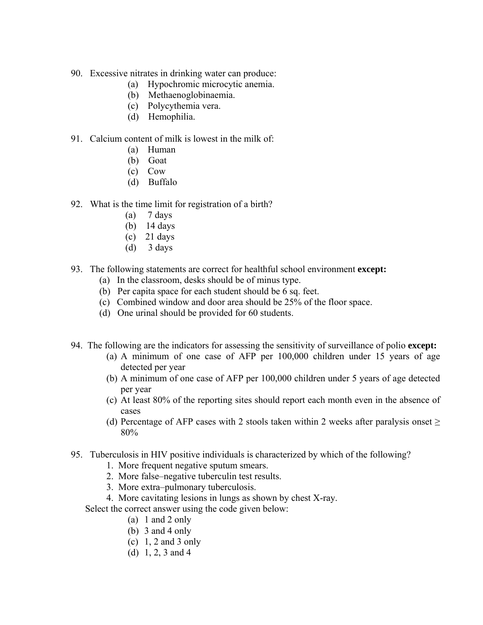- 90. Excessive nitrates in drinking water can produce:
	- (a) Hypochromic microcytic anemia.
	- (b) Methaenoglobinaemia.
	- (c) Polycythemia vera.
	- (d) Hemophilia.

### 91. Calcium content of milk is lowest in the milk of:

- (a) Human
- (b) Goat
- (c) Cow
- (d) Buffalo
- 92. What is the time limit for registration of a birth?
	- $(a)$  7 days
	- (b) 14 days
	- (c) 21 days
	- (d)  $3 \text{ days}$
- 93. The following statements are correct for healthful school environment **except:**
	- (a) In the classroom, desks should be of minus type.
	- (b) Per capita space for each student should be 6 sq. feet.
	- (c) Combined window and door area should be 25% of the floor space.
	- (d) One urinal should be provided for 60 students.
- 94. The following are the indicators for assessing the sensitivity of surveillance of polio **except:**
	- (a) A minimum of one case of AFP per 100,000 children under 15 years of age detected per year
	- (b) A minimum of one case of AFP per 100,000 children under 5 years of age detected per year
	- (c) At least 80% of the reporting sites should report each month even in the absence of cases
	- (d) Percentage of AFP cases with 2 stools taken within 2 weeks after paralysis onset  $\geq$ 80%
- 95. Tuberculosis in HIV positive individuals is characterized by which of the following?
	- 1. More frequent negative sputum smears.
	- 2. More false–negative tuberculin test results.
	- 3. More extra–pulmonary tuberculosis.
	- 4. More cavitating lesions in lungs as shown by chest X-ray.

Select the correct answer using the code given below:

- (a) 1 and 2 only
- (b) 3 and 4 only
- (c) 1, 2 and 3 only
- (d) 1, 2, 3 and 4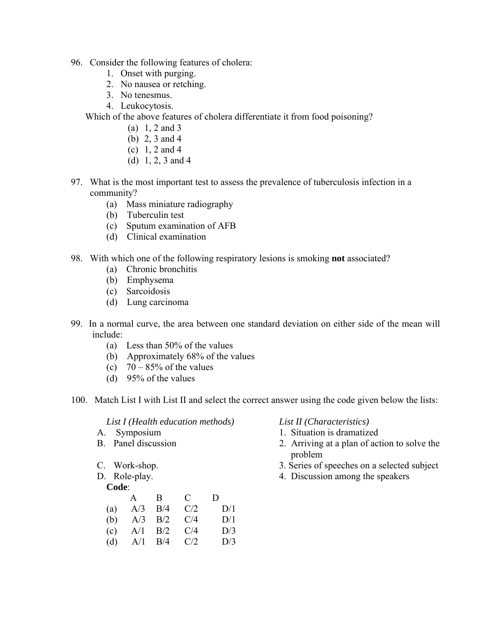- 96. Consider the following features of cholera:
	- 1. Onset with purging.
	- 2. No nausea or retching.
	- 3. No tenesmus.
	- 4. Leukocytosis.

Which of the above features of cholera differentiate it from food poisoning?

- (a) 1, 2 and 3
- (b) 2, 3 and 4
- (c) 1, 2 and 4
- (d) 1, 2, 3 and 4
- 97. What is the most important test to assess the prevalence of tuberculosis infection in a community?
	- (a) Mass miniature radiography
	- (b) Tuberculin test
	- (c) Sputum examination of AFB
	- (d) Clinical examination
- 98. With which one of the following respiratory lesions is smoking **not** associated?
	- (a) Chronic bronchitis
	- (b) Emphysema
	- (c) Sarcoidosis
	- (d) Lung carcinoma
- 99. In a normal curve, the area between one standard deviation on either side of the mean will include:
	- (a) Less than 50% of the values
	- (b) Approximately 68% of the values
	- (c)  $70 85\%$  of the values
	- (d) 95% of the values
- 100. Match List I with List II and select the correct answer using the code given below the lists:

*List I (Health education methods) List II (Characteristics)* 

- 
- 
- 
- 

#### **Code**:

|                       | A B C D               |                             |
|-----------------------|-----------------------|-----------------------------|
|                       |                       | (a) $A/3$ $B/4$ $C/2$ $D/1$ |
|                       | (b) $A/3$ $B/2$ $C/4$ | D/1                         |
| (c) $A/1$ $B/2$ $C/4$ |                       | D/3                         |
| (d) $A/1$ $B/4$ $C/2$ |                       | D/3                         |

- A. Symposium 1. Situation is dramatized
- B. Panel discussion 2. Arriving at a plan of action to solve the problem
- C. Work-shop. 3. Series of speeches on a selected subject<br>D. Role-play. 4. Discussion among the speakers
	- 4. Discussion among the speakers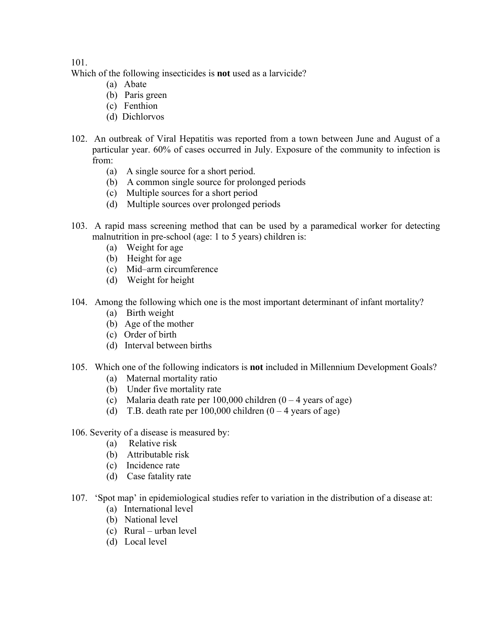Which of the following insecticides is **not** used as a larvicide?

- (a) Abate
- (b) Paris green
- (c) Fenthion
- (d) Dichlorvos
- 102. An outbreak of Viral Hepatitis was reported from a town between June and August of a particular year. 60% of cases occurred in July. Exposure of the community to infection is from:
	- (a) A single source for a short period.
	- (b) A common single source for prolonged periods
	- (c) Multiple sources for a short period
	- (d) Multiple sources over prolonged periods
- 103. A rapid mass screening method that can be used by a paramedical worker for detecting malnutrition in pre-school (age: 1 to 5 years) children is:
	- (a) Weight for age
	- (b) Height for age
	- (c) Mid–arm circumference
	- (d) Weight for height
- 104. Among the following which one is the most important determinant of infant mortality?
	- (a) Birth weight
	- (b) Age of the mother
	- (c) Order of birth
	- (d) Interval between births
- 105. Which one of the following indicators is **not** included in Millennium Development Goals?
	- (a) Maternal mortality ratio
	- (b) Under five mortality rate
	- (c) Malaria death rate per 100,000 children  $(0 4$  years of age)
	- (d) T.B. death rate per  $100,000$  children  $(0 4$  years of age)
- 106. Severity of a disease is measured by:
	- (a) Relative risk
	- (b) Attributable risk
	- (c) Incidence rate
	- (d) Case fatality rate
- 107. 'Spot map' in epidemiological studies refer to variation in the distribution of a disease at:
	- (a) International level
	- (b) National level
	- (c) Rural urban level
	- (d) Local level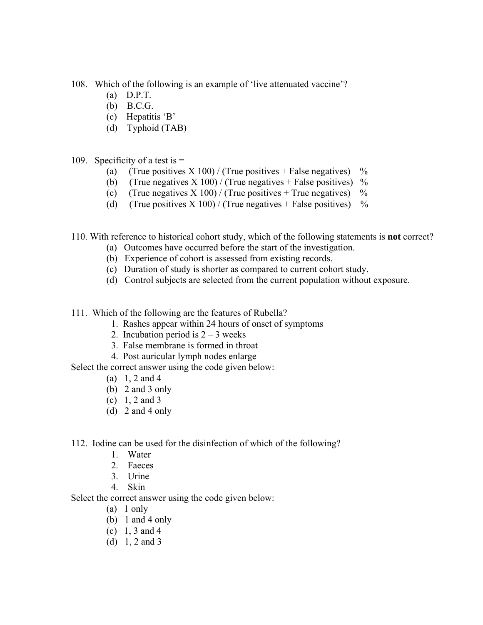108. Which of the following is an example of 'live attenuated vaccine'?

- (a) D.P.T.
- (b) B.C.G.
- (c) Hepatitis 'B'
- (d) Typhoid (TAB)
- 109. Specificity of a test is  $=$ 
	- (a) (True positives X 100) / (True positives + False negatives) %
	- (b) (True negatives X 100) / (True negatives + False positives) %
	- (c) (True negatives X 100) / (True positives + True negatives)  $\%$
	- (d) (True positives X 100) / (True negatives + False positives) %

110. With reference to historical cohort study, which of the following statements is **not** correct?

- (a) Outcomes have occurred before the start of the investigation.
- (b) Experience of cohort is assessed from existing records.
- (c) Duration of study is shorter as compared to current cohort study.
- (d) Control subjects are selected from the current population without exposure.
- 111. Which of the following are the features of Rubella?
	- 1. Rashes appear within 24 hours of onset of symptoms
	- 2. Incubation period is  $2 3$  weeks
	- 3. False membrane is formed in throat
	- 4. Post auricular lymph nodes enlarge

Select the correct answer using the code given below:

- (a) 1, 2 and 4
- (b) 2 and 3 only
- (c) 1, 2 and 3
- (d)  $2$  and  $4$  only
- 112. Iodine can be used for the disinfection of which of the following?
	- 1. Water
	- 2. Faeces
	- 3. Urine
	- 4. Skin

Select the correct answer using the code given below:

- $(a)$  1 only
- (b) 1 and 4 only
- (c) 1, 3 and 4
- (d) 1, 2 and 3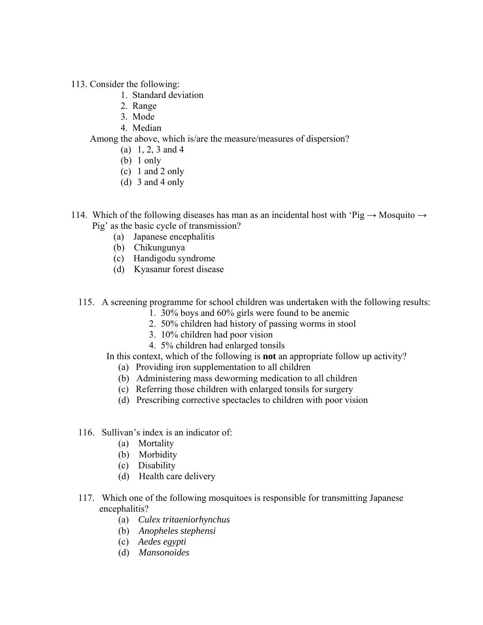113. Consider the following:

- 1. Standard deviation
- 2. Range
- 3. Mode
- 4. Median

Among the above, which is/are the measure/measures of dispersion?

- (a) 1, 2, 3 and 4
- (b) 1 only
- (c) 1 and 2 only
- (d) 3 and 4 only
- 114. Which of the following diseases has man as an incidental host with 'Pig  $\rightarrow$  Mosquito  $\rightarrow$  Pig' as the basic cycle of transmission?
	- (a) Japanese encephalitis
	- (b) Chikungunya
	- (c) Handigodu syndrome
	- (d) Kyasanur forest disease
	- 115. A screening programme for school children was undertaken with the following results:
		- 1. 30% boys and 60% girls were found to be anemic
		- 2. 50% children had history of passing worms in stool
		- 3. 10% children had poor vision
		- 4. 5% children had enlarged tonsils
		- In this context, which of the following is **not** an appropriate follow up activity?
			- (a) Providing iron supplementation to all children
			- (b) Administering mass deworming medication to all children
			- (c) Referring those children with enlarged tonsils for surgery
			- (d) Prescribing corrective spectacles to children with poor vision
	- 116. Sullivan's index is an indicator of:
		- (a) Mortality
		- (b) Morbidity
		- (c) Disability
		- (d) Health care delivery
	- 117. Which one of the following mosquitoes is responsible for transmitting Japanese encephalitis?
		- (a) *Culex tritaeniorhynchus*
		- (b) *Anopheles stephensi*
		- (c) *Aedes egypti*
		- (d) *Mansonoides*